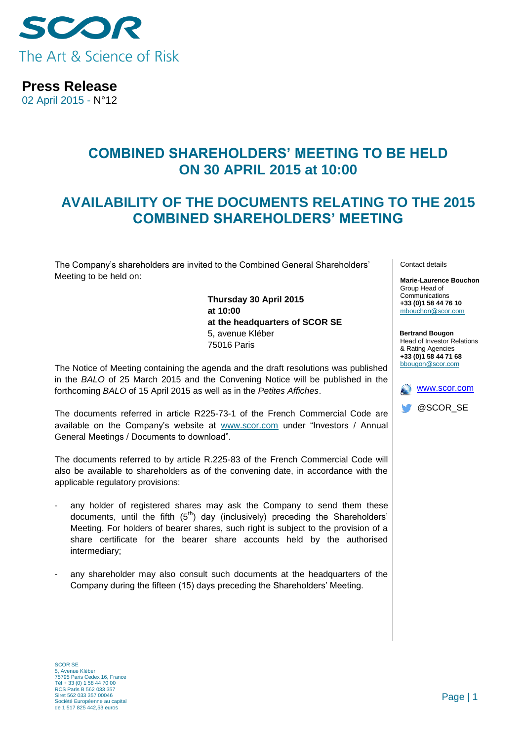

**Press Release**

02 April 2015 - N°12

## **COMBINED SHAREHOLDERS' MEETING TO BE HELD ON 30 APRIL 2015 at 10:00**

## **AVAILABILITY OF THE DOCUMENTS RELATING TO THE 2015 COMBINED SHAREHOLDERS' MEETING**

The Company's shareholders are invited to the Combined General Shareholders' Meeting to be held on:

> **Thursday 30 April 2015 at 10:00 at the headquarters of SCOR SE** 5, avenue Kléber 75016 Paris

The Notice of Meeting containing the agenda and the draft resolutions was published in the *BALO* of 25 March 2015 and the Convening Notice will be published in the forthcoming *BALO* of 15 April 2015 as well as in the *Petites Affiches*.

The documents referred in article R225-73-1 of the French Commercial Code are available on the Company's website at [www.scor.com](http://www.scor.com/) under "Investors / Annual General Meetings / Documents to download".

The documents referred to by article R.225-83 of the French Commercial Code will also be available to shareholders as of the convening date, in accordance with the applicable regulatory provisions:

- any holder of registered shares may ask the Company to send them these documents, until the fifth  $(5<sup>th</sup>)$  day (inclusively) preceding the Shareholders' Meeting. For holders of bearer shares, such right is subject to the provision of a share certificate for the bearer share accounts held by the authorised intermediary;
- any shareholder may also consult such documents at the headquarters of the Company during the fifteen (15) days preceding the Shareholders' Meeting.

Contact details

**Marie-Laurence Bouchon** Group Head of **Communications +33 (0)1 58 44 76 10** [mbouchon@scor.com](mailto:mbouchon@scor.com)

**Bertrand Bougon** Head of Investor Relations & Rating Agencies **+33 (0)1 58 44 71 68** bbougon@scor.com



SCOR SE 5, Avenue Kléber 75795 Paris Cedex 16, France Tél + 33 (0) 1 58 44 70 00 RCS Paris B 562 033 357 Siret 562 033 357 00046 Société Européenne au capital de 1 517 825 442,53 euros